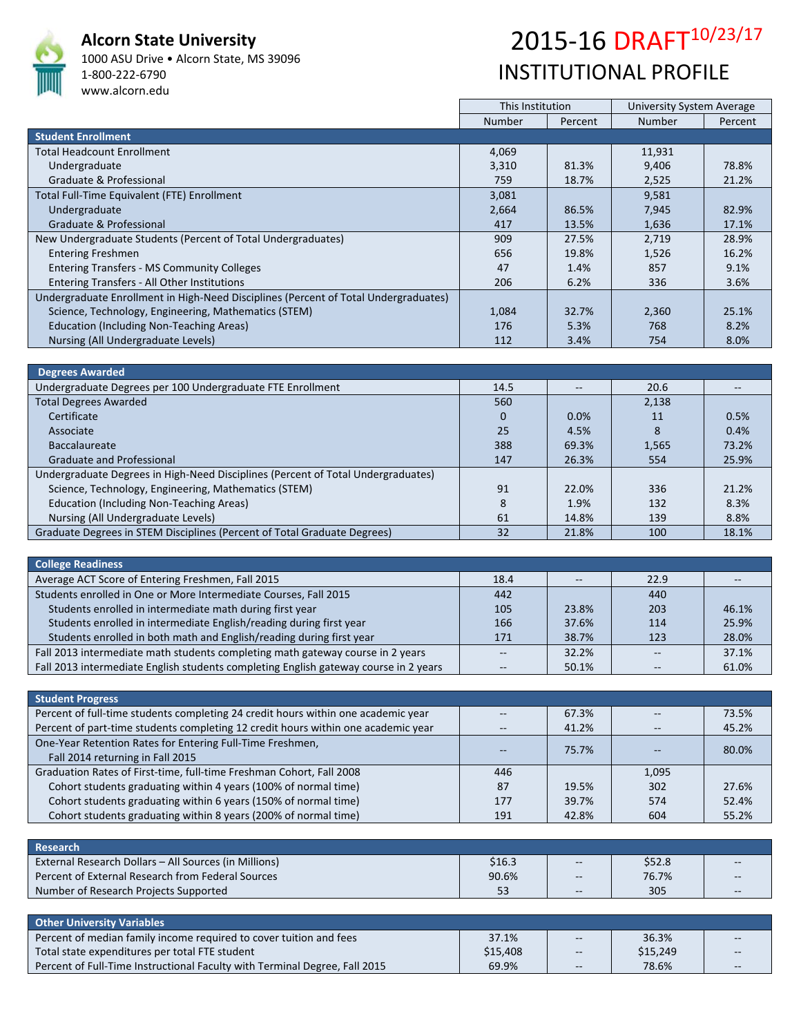

## **Alcorn State University**

1000 ASU Drive • Alcorn State, MS 39096 1‐800‐222‐6790 www.alcorn.edu

## 2015-16 DRAFT<sup>10/23/17</sup> INSTITUTIONAL PROFILE

|                                                                                     | This Institution |         | University System Average |         |
|-------------------------------------------------------------------------------------|------------------|---------|---------------------------|---------|
|                                                                                     | <b>Number</b>    | Percent | <b>Number</b>             | Percent |
| <b>Student Enrollment</b>                                                           |                  |         |                           |         |
| <b>Total Headcount Enrollment</b>                                                   | 4,069            |         | 11,931                    |         |
| Undergraduate                                                                       | 3,310            | 81.3%   | 9,406                     | 78.8%   |
| Graduate & Professional                                                             | 759              | 18.7%   | 2,525                     | 21.2%   |
| Total Full-Time Equivalent (FTE) Enrollment                                         | 3,081            |         | 9,581                     |         |
| Undergraduate                                                                       | 2,664            | 86.5%   | 7,945                     | 82.9%   |
| Graduate & Professional                                                             | 417              | 13.5%   | 1,636                     | 17.1%   |
| New Undergraduate Students (Percent of Total Undergraduates)                        | 909              | 27.5%   | 2,719                     | 28.9%   |
| <b>Entering Freshmen</b>                                                            | 656              | 19.8%   | 1,526                     | 16.2%   |
| <b>Entering Transfers - MS Community Colleges</b>                                   | 47               | 1.4%    | 857                       | 9.1%    |
| Entering Transfers - All Other Institutions                                         | 206              | 6.2%    | 336                       | 3.6%    |
| Undergraduate Enrollment in High-Need Disciplines (Percent of Total Undergraduates) |                  |         |                           |         |
| Science, Technology, Engineering, Mathematics (STEM)                                | 1,084            | 32.7%   | 2,360                     | 25.1%   |
| Education (Including Non-Teaching Areas)                                            | 176              | 5.3%    | 768                       | 8.2%    |
| Nursing (All Undergraduate Levels)                                                  | 112              | 3.4%    | 754                       | 8.0%    |

| <b>Degrees Awarded</b>                                                           |          |       |       |       |
|----------------------------------------------------------------------------------|----------|-------|-------|-------|
| Undergraduate Degrees per 100 Undergraduate FTE Enrollment                       | 14.5     | $- -$ | 20.6  |       |
| <b>Total Degrees Awarded</b>                                                     | 560      |       | 2,138 |       |
| Certificate                                                                      | $\Omega$ | 0.0%  | 11    | 0.5%  |
| Associate                                                                        | 25       | 4.5%  | 8     | 0.4%  |
| <b>Baccalaureate</b>                                                             | 388      | 69.3% | 1,565 | 73.2% |
| <b>Graduate and Professional</b>                                                 | 147      | 26.3% | 554   | 25.9% |
| Undergraduate Degrees in High-Need Disciplines (Percent of Total Undergraduates) |          |       |       |       |
| Science, Technology, Engineering, Mathematics (STEM)                             | 91       | 22.0% | 336   | 21.2% |
| Education (Including Non-Teaching Areas)                                         | 8        | 1.9%  | 132   | 8.3%  |
| Nursing (All Undergraduate Levels)                                               | 61       | 14.8% | 139   | 8.8%  |
| Graduate Degrees in STEM Disciplines (Percent of Total Graduate Degrees)         | 32       | 21.8% | 100   | 18.1% |

| <b>College Readiness</b>                                                             |      |                   |      |       |
|--------------------------------------------------------------------------------------|------|-------------------|------|-------|
| Average ACT Score of Entering Freshmen, Fall 2015                                    | 18.4 | $\qquad \qquad -$ | 22.9 |       |
| Students enrolled in One or More Intermediate Courses, Fall 2015                     | 442  |                   | 440  |       |
| Students enrolled in intermediate math during first year                             | 105  | 23.8%             | 203  | 46.1% |
| Students enrolled in intermediate English/reading during first year                  | 166  | 37.6%             | 114  | 25.9% |
| Students enrolled in both math and English/reading during first year                 | 171  | 38.7%             | 123  | 28.0% |
| Fall 2013 intermediate math students completing math gateway course in 2 years       |      | 32.2%             |      | 37.1% |
| Fall 2013 intermediate English students completing English gateway course in 2 years |      | 50.1%             |      | 61.0% |

| <b>Student Progress</b>                                                           |     |       |       |       |
|-----------------------------------------------------------------------------------|-----|-------|-------|-------|
| Percent of full-time students completing 24 credit hours within one academic year |     | 67.3% |       | 73.5% |
| Percent of part-time students completing 12 credit hours within one academic year |     | 41.2% |       | 45.2% |
| One-Year Retention Rates for Entering Full-Time Freshmen,                         |     | 75.7% |       | 80.0% |
| Fall 2014 returning in Fall 2015                                                  |     |       |       |       |
| Graduation Rates of First-time, full-time Freshman Cohort, Fall 2008              | 446 |       | 1,095 |       |
| Cohort students graduating within 4 years (100% of normal time)                   | 87  | 19.5% | 302   | 27.6% |
| Cohort students graduating within 6 years (150% of normal time)                   | 177 | 39.7% | 574   | 52.4% |
| Cohort students graduating within 8 years (200% of normal time)                   | 191 | 42.8% | 604   | 55.2% |

| Research                                              |        |       |        |                          |
|-------------------------------------------------------|--------|-------|--------|--------------------------|
| External Research Dollars – All Sources (in Millions) | \$16.3 | $-$   | \$52.8 | $- -$                    |
| Percent of External Research from Federal Sources     | 90.6%  | $- -$ | 76.7%  | $\sim$ $\sim$            |
| Number of Research Projects Supported                 | 53     | $--$  | 305    | $\overline{\phantom{m}}$ |

| Other University Variables                                                 |          |       |          |       |
|----------------------------------------------------------------------------|----------|-------|----------|-------|
| Percent of median family income required to cover tuition and fees         | 37.1%    | $- -$ | 36.3%    | $- -$ |
| Total state expenditures per total FTE student                             | \$15,408 | $---$ | \$15,249 | $-$   |
| Percent of Full-Time Instructional Faculty with Terminal Degree, Fall 2015 | 69.9%    | $-$   | 78.6%    | $- -$ |